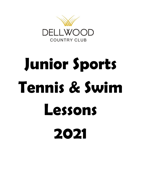

# **Junior Sports Tennis & Swim Lessons 2021**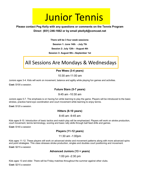### Junior Tennis

#### **Please contact Peg Kelly with any questions or comments on the Tennis Program Direct (651) 246-1662 or by email pkelly4@comcast.net**

**There will be 3 four week sessions:**

**Session 1: June 14th - July 7th** 

**Session 2: July 12th – August 4th** 

**Session 3: August 9th—September 1st** 

#### All Sessions Are Mondays & Wednesdays

#### **Pee Wees (3-4 years)**

10:30 am-11:00 am

Juniors ages 3-4. Kids will work on movement, balance and agility while playing fun games and activities.

**Cost:** \$100 a session.

#### **Future Stars (5-7 years)**

9:45 am -10:30 am

Juniors ages 5-7. The emphasis is on having fun while learning to play the game. Players will be introduced to the basic strokes, practice hand-eye coordination and court movement while learning to enjoy tennis.

**Cost:** \$120 a session.

#### **Hitters (8-10 years)**

8:45 am -9:45 am

Kids ages 8-10. Introduction of basic tactics and match play will be emphasized. Players will work on stroke production, court movement, tennis terminology, scoring and basic rally skills through ball feed drills and games.

**Cost:** \$140 a session

#### **Players (11-12 years)**

#### 11:30 am -1:00pm

Kids ages 11-12. These players will work on advanced stroke and movement patterns along with more advanced spins and point strategies. This class stresses stroke production, singles and doubles court positioning and movement.

**Cost:** \$215 a session

#### **Advanced Juniors (13 + years)**

1:00 pm -2:30 pm

Kids ages 13 and older. There will be Friday matches throughout the summer against other clubs.

**Cost:** \$215 a session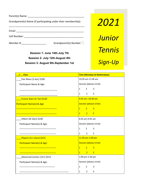Parent(s) Name: \_\_\_\_\_\_\_\_\_\_\_\_\_\_\_\_\_\_\_\_\_\_\_\_\_\_\_\_\_\_\_\_\_\_\_\_\_\_\_\_\_

Grandparent(s) Name (if participating under their membership):

\_\_\_\_\_\_\_\_\_\_\_\_\_\_\_\_\_\_\_\_\_\_\_\_\_\_\_\_\_\_\_\_\_\_\_\_\_\_\_\_\_\_\_\_\_\_\_\_\_\_\_\_\_\_\_

#### Email: \_\_\_\_\_\_\_\_\_\_\_\_\_\_\_\_\_\_\_\_\_\_\_\_\_\_\_\_\_\_\_\_\_\_\_\_\_\_\_\_\_\_\_\_\_\_\_\_\_

Cell Number: \_\_\_\_\_\_\_\_\_\_\_\_\_\_\_\_\_\_\_\_\_\_\_\_\_\_\_\_\_\_\_\_\_\_\_\_\_\_\_\_\_\_\_

Member #:  $\Box$  Grandparent(s) Number  $\Box$ 

**Session 1: June 14th-July 7th Session 2: July 12th-August 4th Session 3: August 9th-September 1st** 

# *2021 Junior Tennis Sign-Up*

| <mark>✓ Class</mark>              | <b>Time (Mondays &amp; Wednesdays)</b>           |
|-----------------------------------|--------------------------------------------------|
| Pee Wees (3-4yr) \$100            | 10:30 am-11:00 am                                |
| Participant Name & Age:           | Session (please circle)                          |
|                                   | $\overline{2}$<br>$\mathbf{1}$<br>3              |
|                                   | $\overline{2}$<br>3<br>$\mathbf{1}$              |
| <b>Future Stars (5-7yr) \$120</b> | 9:45 am--10:30 am                                |
| Participant Name(s) & Age:        | Session (please circle)                          |
|                                   | 1<br>2 <sup>7</sup><br>$\overline{3}$            |
|                                   | 2 <sup>1</sup><br>$\overline{3}$<br>1            |
| Hitters (8-10yr) \$140            | 8:45 am-9:45 am                                  |
| Participant Name(s) & Age:        | Session (please circle)                          |
|                                   | $\overline{2}$<br>$\mathbf{1}$<br>3              |
|                                   | $2^{\circ}$<br>$\overline{3}$<br>$\mathbf{1}$    |
| Players (11-12yrs) \$215          | 11:30 am-1:00 pm                                 |
| Participant Name(s) & Age:        | Session (please circle)                          |
|                                   | 2 <sup>1</sup><br>$\overline{3}$<br>$\mathbf{1}$ |
|                                   | $\overline{3}$<br>2 <sup>7</sup><br>1            |
| Advanced Juniors (13+) \$215      | 1:00 pm-2:30 pm                                  |
| Participant Name(s) & Age:        | Session (please circle)                          |
|                                   | $\mathbf{1}$<br>$\overline{2}$<br>3              |
|                                   | $\overline{2}$<br>3<br>$\mathbf{1}$              |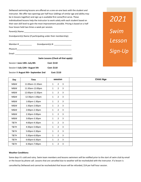Dellwood swimming lessons are offered on a one-on-one basis with the student and instructor. We offer two openings per half hour (siblings of similar age and ability may be in lessons together) and sign up is available first come/first serve. These individualized lessons help the instructor to work solely with each student based on their own skill level to gain the most improvement possible. Pricing is based on a half hour lesson held two times a week per session.

Parent(s) Name:

Grandparent(s) Name (if participating under their membership):

\_\_\_\_\_\_\_\_\_\_\_\_\_\_\_\_\_\_\_\_\_\_\_\_\_\_\_\_\_\_\_\_\_\_\_\_\_\_\_\_\_\_\_\_\_\_\_\_\_\_\_\_\_\_\_

|          | Swim Lessons (Check all that apply): |
|----------|--------------------------------------|
| Email:   |                                      |
| Phone #  |                                      |
| Member # | Grandparent(s) #:                    |

| Session I June 14th--July 8th        | <b>Cost: \$110</b> |
|--------------------------------------|--------------------|
| Session II July 12th- August 5th     | <b>Cost: \$110</b> |
| Session III August 9th-September 2nd | Cost: \$110        |

### *2021 Swim Lesson Sign-Up*

| Day  | <b>Time</b>     | session                                        | Child /Age |
|------|-----------------|------------------------------------------------|------------|
| M&W  | 11:00am-11:30am | $\overline{2}$<br>3<br>$\mathbf{1}$            |            |
| M&W  | 11:30am-12:00pm | $\overline{2}$<br>3<br>$\mathbf{1}$            |            |
| M&W  | 12:00pm-12:30pm | $\overline{2}$<br>3<br>$\mathbf{1}$            |            |
| M&W  | 12:30pm-1:00pm  | $\overline{2}$<br>3<br>$\mathbf{1}$            |            |
| M&W  | 1:00pm-1:30pm   | $\overline{2}$<br>$\mathsf{3}$<br>$\mathbf{1}$ |            |
| M&W  | 1:30pm-2:00pm   | $\overline{2}$<br>3<br>$\mathbf{1}$            |            |
| M&W  | 2:00pm-2:30pm   | $\overline{2}$<br>3<br>$\mathbf{1}$            |            |
| M&W  | 2:30pm-3:00pm   | 3<br>$\overline{2}$<br>$\mathbf{1}$            |            |
| M&W  | 3:00pm-3:30pm   | $\overline{2}$<br>3<br>$\mathbf{1}$            |            |
| T&TH | 4:00pm-4:30pm   | $\overline{2}$<br>3<br>$\mathbf{1}$            |            |
| T&TH | 4:30pm-5:00pm   | $\overline{2}$<br>$\mathbf{1}$<br>3            |            |
| T&TH | 5:00pm-5:30pm   | $\overline{2}$<br>3<br>$\mathbf{1}$            |            |
| T&TH | 5:30pm-6:00pm   | $\overline{2}$<br>3<br>$\mathbf{1}$            |            |
| T&TH | 6:00pm-6:30pm   | $\overline{2}$<br>3<br>$\mathbf{1}$            |            |
| T&TH | 6:30pm-7:00pm   | $\overline{2}$<br>3<br>$\mathbf{1}$            |            |

#### **Weather Conditions:**

Some days it's cold and rainy. Swim team members and lessons swimmers will be notified prior to the start of swim club by email or the lesson by phone call. Lessons that are cancelled due to weather will be rescheduled with the instructor. If a lesson is

cancelled by Dellwood and cannot be rescheduled that lesson will be refunded, \$14 per half hour session.